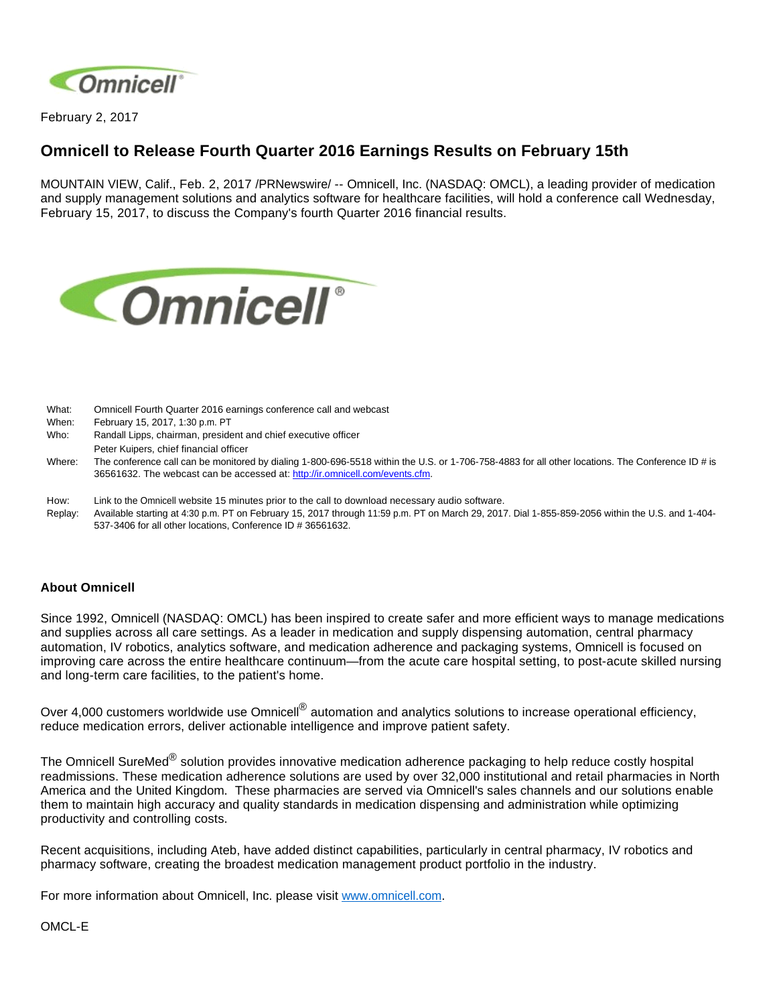

February 2, 2017

## **Omnicell to Release Fourth Quarter 2016 Earnings Results on February 15th**

MOUNTAIN VIEW, Calif., Feb. 2, 2017 /PRNewswire/ -- Omnicell, Inc. (NASDAQ: OMCL), a leading provider of medication and supply management solutions and analytics software for healthcare facilities, will hold a conference call Wednesday, February 15, 2017, to discuss the Company's fourth Quarter 2016 financial results.



- What: Omnicell Fourth Quarter 2016 earnings conference call and webcast
- When: February 15, 2017, 1:30 p.m. PT
- Who: Randall Lipps, chairman, president and chief executive officer
- Peter Kuipers, chief financial officer
- Where: The conference call can be monitored by dialing 1-800-696-5518 within the U.S. or 1-706-758-4883 for all other locations. The Conference ID # is 36561632. The webcast can be accessed at: <http://ir.omnicell.com/events.cfm>.
- How: Link to the Omnicell website 15 minutes prior to the call to download necessary audio software.
- Replay: Available starting at 4:30 p.m. PT on February 15, 2017 through 11:59 p.m. PT on March 29, 2017. Dial 1-855-859-2056 within the U.S. and 1-404- 537-3406 for all other locations, Conference ID # 36561632.

## **About Omnicell**

Since 1992, Omnicell (NASDAQ: OMCL) has been inspired to create safer and more efficient ways to manage medications and supplies across all care settings. As a leader in medication and supply dispensing automation, central pharmacy automation, IV robotics, analytics software, and medication adherence and packaging systems, Omnicell is focused on improving care across the entire healthcare continuum—from the acute care hospital setting, to post-acute skilled nursing and long-term care facilities, to the patient's home.

Over 4,000 customers worldwide use Omnicell<sup>®</sup> automation and analytics solutions to increase operational efficiency, reduce medication errors, deliver actionable intelligence and improve patient safety.

The Omnicell SureMed<sup>®</sup> solution provides innovative medication adherence packaging to help reduce costly hospital readmissions. These medication adherence solutions are used by over 32,000 institutional and retail pharmacies in North America and the United Kingdom. These pharmacies are served via Omnicell's sales channels and our solutions enable them to maintain high accuracy and quality standards in medication dispensing and administration while optimizing productivity and controlling costs.

Recent acquisitions, including Ateb, have added distinct capabilities, particularly in central pharmacy, IV robotics and pharmacy software, creating the broadest medication management product portfolio in the industry.

For more information about Omnicell, Inc. please visit [www.omnicell.com](http://www.omnicell.com/).

OMCL-E